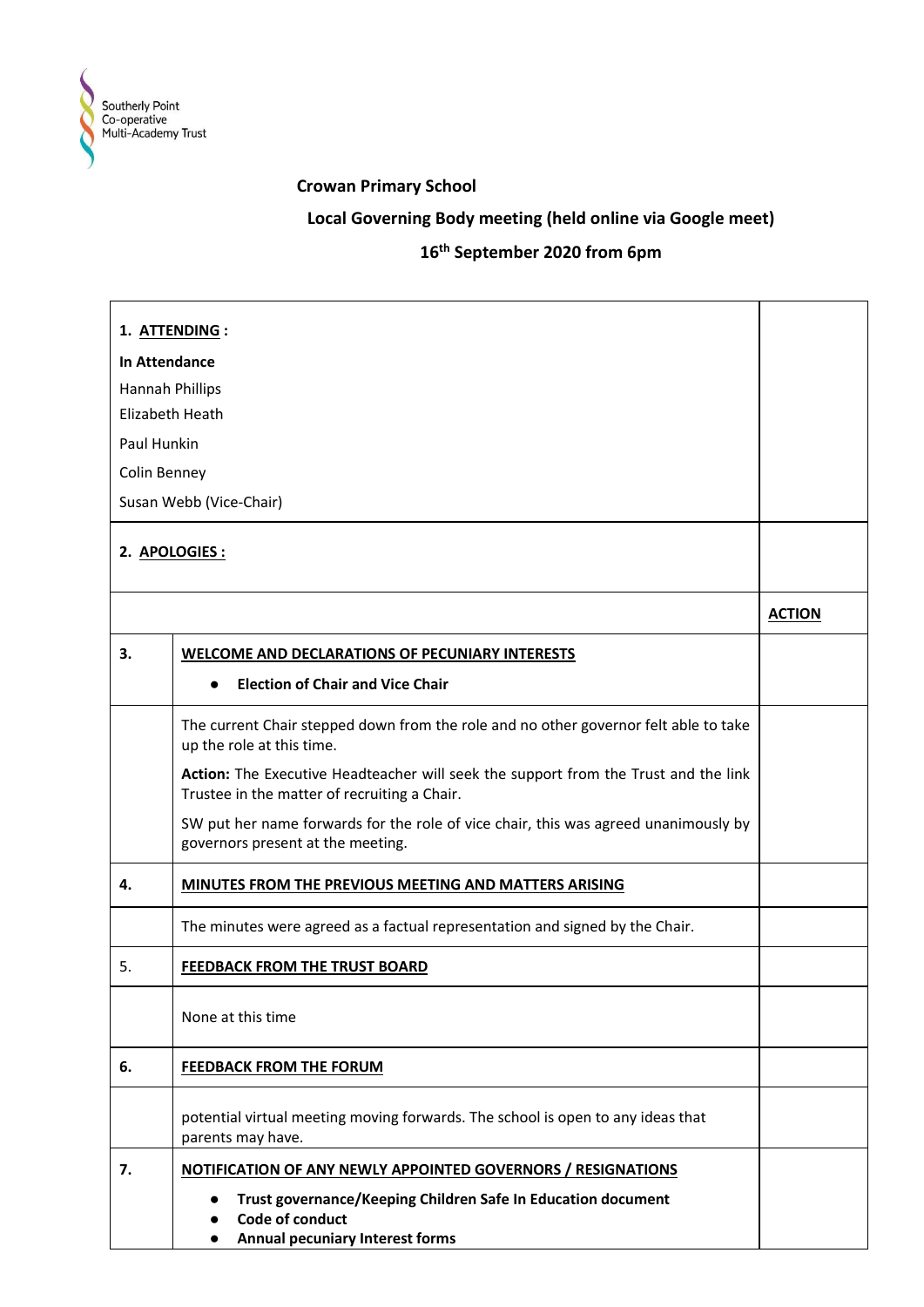

## **Crowan Primary School**

## **Local Governing Body meeting (held online via Google meet)**

## **16th September 2020 from 6pm**

|                                                  | 1. ATTENDING:                                                                                                                       |               |
|--------------------------------------------------|-------------------------------------------------------------------------------------------------------------------------------------|---------------|
| In Attendance                                    |                                                                                                                                     |               |
|                                                  |                                                                                                                                     |               |
| <b>Hannah Phillips</b><br><b>Elizabeth Heath</b> |                                                                                                                                     |               |
| Paul Hunkin                                      |                                                                                                                                     |               |
| Colin Benney                                     |                                                                                                                                     |               |
|                                                  |                                                                                                                                     |               |
|                                                  | Susan Webb (Vice-Chair)                                                                                                             |               |
|                                                  | 2. APOLOGIES :                                                                                                                      |               |
|                                                  |                                                                                                                                     |               |
|                                                  |                                                                                                                                     | <b>ACTION</b> |
| 3.                                               | <b>WELCOME AND DECLARATIONS OF PECUNIARY INTERESTS</b>                                                                              |               |
|                                                  | <b>Election of Chair and Vice Chair</b><br>$\bullet$                                                                                |               |
|                                                  | The current Chair stepped down from the role and no other governor felt able to take<br>up the role at this time.                   |               |
|                                                  | Action: The Executive Headteacher will seek the support from the Trust and the link<br>Trustee in the matter of recruiting a Chair. |               |
|                                                  | SW put her name forwards for the role of vice chair, this was agreed unanimously by<br>governors present at the meeting.            |               |
| 4.                                               | MINUTES FROM THE PREVIOUS MEETING AND MATTERS ARISING                                                                               |               |
|                                                  | The minutes were agreed as a factual representation and signed by the Chair.                                                        |               |
| 5.                                               | FEEDBACK FROM THE TRUST BOARD                                                                                                       |               |
|                                                  | None at this time                                                                                                                   |               |
| 6.                                               | <b>FEEDBACK FROM THE FORUM</b>                                                                                                      |               |
|                                                  | potential virtual meeting moving forwards. The school is open to any ideas that<br>parents may have.                                |               |
| 7.                                               | NOTIFICATION OF ANY NEWLY APPOINTED GOVERNORS / RESIGNATIONS                                                                        |               |
|                                                  | Trust governance/Keeping Children Safe In Education document<br>Code of conduct<br>Annual pecuniary Interest forms                  |               |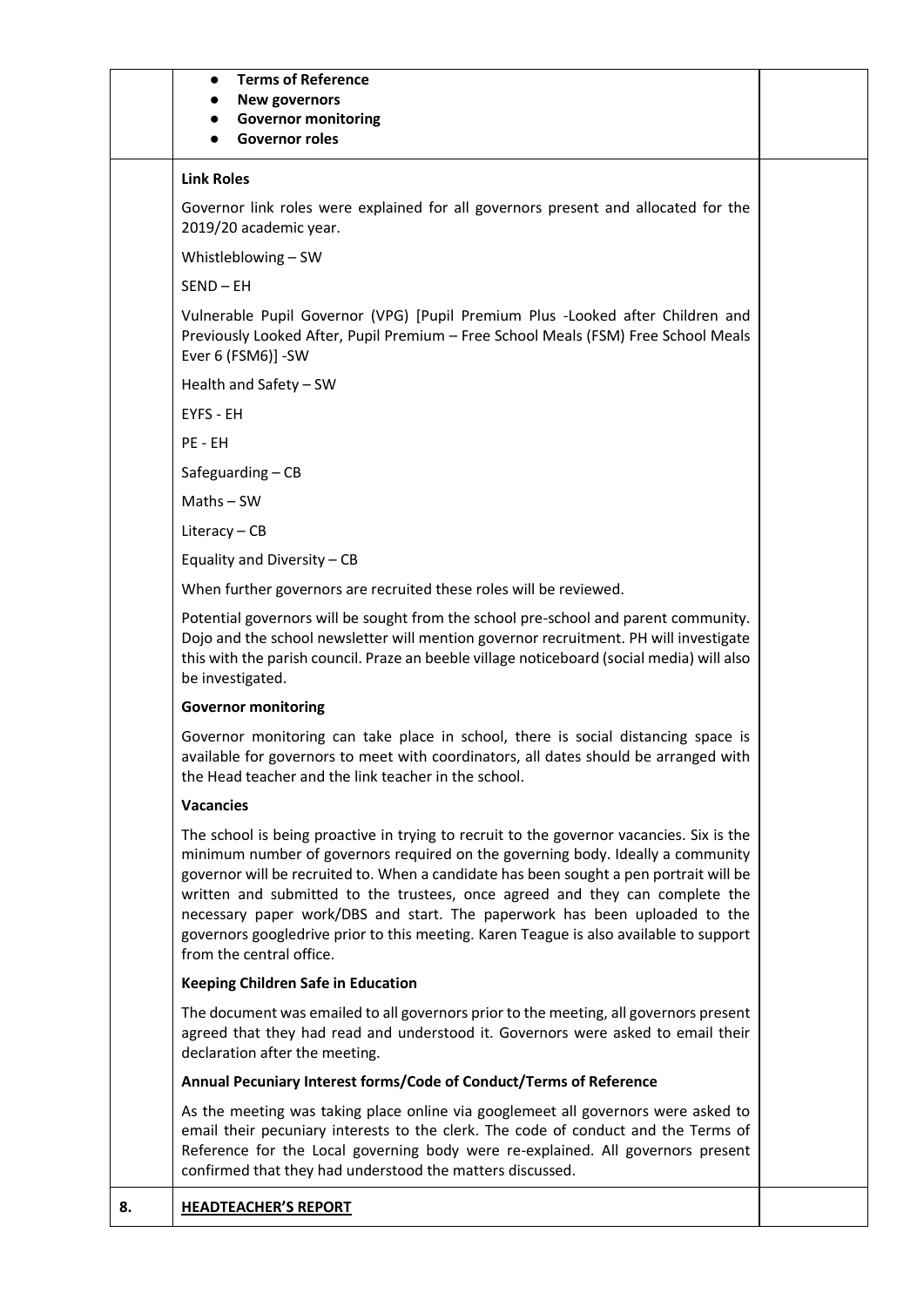|    | <b>Terms of Reference</b><br>$\bullet$<br><b>New governors</b><br><b>Governor monitoring</b><br><b>Governor roles</b>                                                                                                                                                                                                                                                                                                                                                                                                                                     |  |
|----|-----------------------------------------------------------------------------------------------------------------------------------------------------------------------------------------------------------------------------------------------------------------------------------------------------------------------------------------------------------------------------------------------------------------------------------------------------------------------------------------------------------------------------------------------------------|--|
|    | <b>Link Roles</b>                                                                                                                                                                                                                                                                                                                                                                                                                                                                                                                                         |  |
|    | Governor link roles were explained for all governors present and allocated for the<br>2019/20 academic year.                                                                                                                                                                                                                                                                                                                                                                                                                                              |  |
|    | Whistleblowing - SW                                                                                                                                                                                                                                                                                                                                                                                                                                                                                                                                       |  |
|    | SEND-EH                                                                                                                                                                                                                                                                                                                                                                                                                                                                                                                                                   |  |
|    | Vulnerable Pupil Governor (VPG) [Pupil Premium Plus -Looked after Children and<br>Previously Looked After, Pupil Premium - Free School Meals (FSM) Free School Meals<br>Ever 6 (FSM6)] -SW                                                                                                                                                                                                                                                                                                                                                                |  |
|    | Health and Safety - SW                                                                                                                                                                                                                                                                                                                                                                                                                                                                                                                                    |  |
|    | EYFS - EH                                                                                                                                                                                                                                                                                                                                                                                                                                                                                                                                                 |  |
|    | PE - EH                                                                                                                                                                                                                                                                                                                                                                                                                                                                                                                                                   |  |
|    | Safeguarding-CB                                                                                                                                                                                                                                                                                                                                                                                                                                                                                                                                           |  |
|    | $Maths - SW$                                                                                                                                                                                                                                                                                                                                                                                                                                                                                                                                              |  |
|    | Literacy $-$ CB                                                                                                                                                                                                                                                                                                                                                                                                                                                                                                                                           |  |
|    | Equality and Diversity - CB                                                                                                                                                                                                                                                                                                                                                                                                                                                                                                                               |  |
|    | When further governors are recruited these roles will be reviewed.                                                                                                                                                                                                                                                                                                                                                                                                                                                                                        |  |
|    | Potential governors will be sought from the school pre-school and parent community.<br>Dojo and the school newsletter will mention governor recruitment. PH will investigate<br>this with the parish council. Praze an beeble village noticeboard (social media) will also<br>be investigated.                                                                                                                                                                                                                                                            |  |
|    | <b>Governor monitoring</b>                                                                                                                                                                                                                                                                                                                                                                                                                                                                                                                                |  |
|    | Governor monitoring can take place in school, there is social distancing space is<br>available for governors to meet with coordinators, all dates should be arranged with<br>the Head teacher and the link teacher in the school.                                                                                                                                                                                                                                                                                                                         |  |
|    | <b>Vacancies</b>                                                                                                                                                                                                                                                                                                                                                                                                                                                                                                                                          |  |
|    | The school is being proactive in trying to recruit to the governor vacancies. Six is the<br>minimum number of governors required on the governing body. Ideally a community<br>governor will be recruited to. When a candidate has been sought a pen portrait will be<br>written and submitted to the trustees, once agreed and they can complete the<br>necessary paper work/DBS and start. The paperwork has been uploaded to the<br>governors googledrive prior to this meeting. Karen Teague is also available to support<br>from the central office. |  |
|    | <b>Keeping Children Safe in Education</b>                                                                                                                                                                                                                                                                                                                                                                                                                                                                                                                 |  |
|    | The document was emailed to all governors prior to the meeting, all governors present<br>agreed that they had read and understood it. Governors were asked to email their<br>declaration after the meeting.                                                                                                                                                                                                                                                                                                                                               |  |
|    | Annual Pecuniary Interest forms/Code of Conduct/Terms of Reference                                                                                                                                                                                                                                                                                                                                                                                                                                                                                        |  |
|    | As the meeting was taking place online via googlemeet all governors were asked to<br>email their pecuniary interests to the clerk. The code of conduct and the Terms of<br>Reference for the Local governing body were re-explained. All governors present<br>confirmed that they had understood the matters discussed.                                                                                                                                                                                                                                   |  |
| 8. | <b>HEADTEACHER'S REPORT</b>                                                                                                                                                                                                                                                                                                                                                                                                                                                                                                                               |  |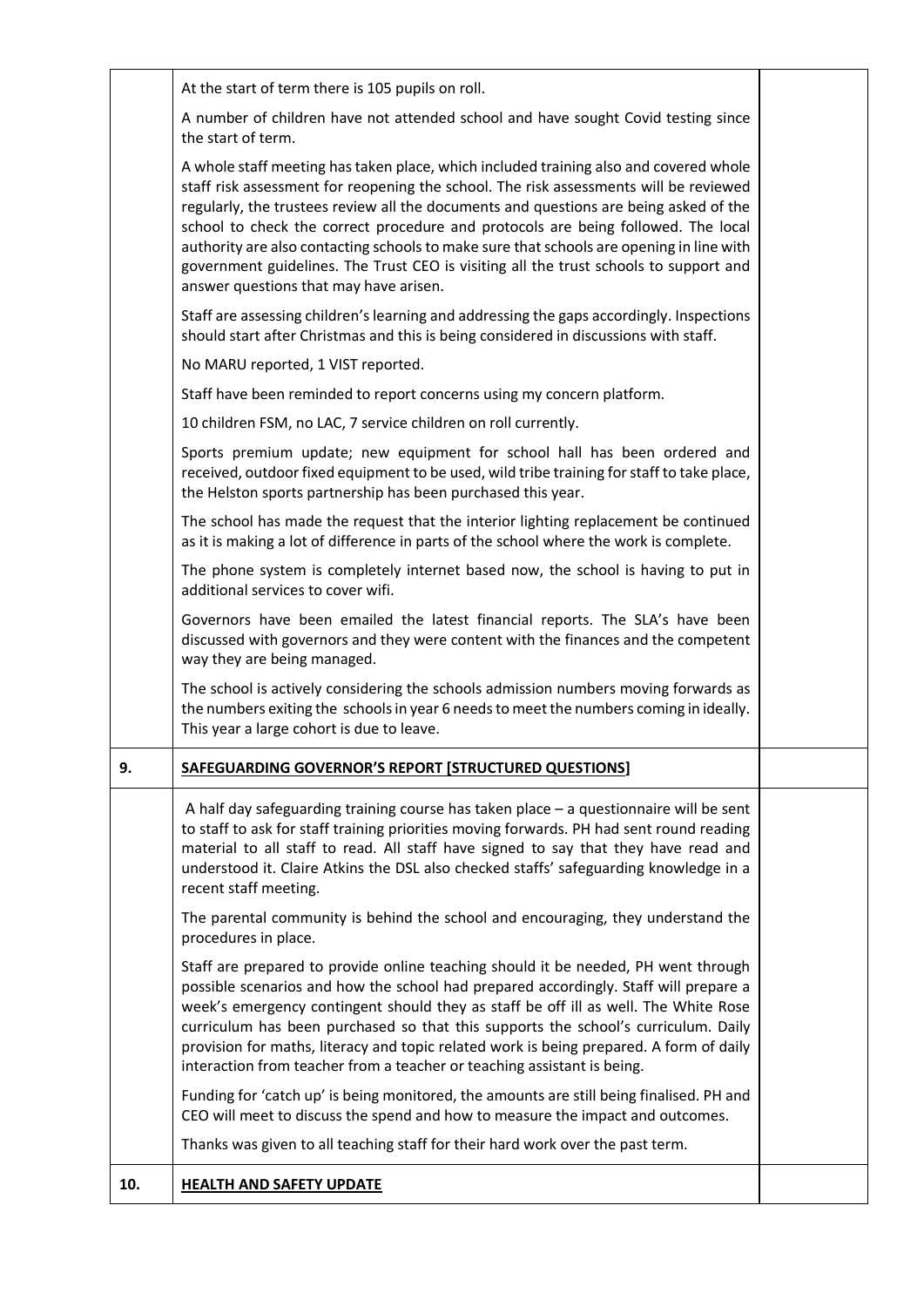|     | At the start of term there is 105 pupils on roll.                                                                                                                                                                                                                                                                                                                                                                                                                                                                                                                                           |  |
|-----|---------------------------------------------------------------------------------------------------------------------------------------------------------------------------------------------------------------------------------------------------------------------------------------------------------------------------------------------------------------------------------------------------------------------------------------------------------------------------------------------------------------------------------------------------------------------------------------------|--|
|     | A number of children have not attended school and have sought Covid testing since<br>the start of term.                                                                                                                                                                                                                                                                                                                                                                                                                                                                                     |  |
|     | A whole staff meeting has taken place, which included training also and covered whole<br>staff risk assessment for reopening the school. The risk assessments will be reviewed<br>regularly, the trustees review all the documents and questions are being asked of the<br>school to check the correct procedure and protocols are being followed. The local<br>authority are also contacting schools to make sure that schools are opening in line with<br>government guidelines. The Trust CEO is visiting all the trust schools to support and<br>answer questions that may have arisen. |  |
|     | Staff are assessing children's learning and addressing the gaps accordingly. Inspections<br>should start after Christmas and this is being considered in discussions with staff.                                                                                                                                                                                                                                                                                                                                                                                                            |  |
|     | No MARU reported, 1 VIST reported.                                                                                                                                                                                                                                                                                                                                                                                                                                                                                                                                                          |  |
|     | Staff have been reminded to report concerns using my concern platform.                                                                                                                                                                                                                                                                                                                                                                                                                                                                                                                      |  |
|     | 10 children FSM, no LAC, 7 service children on roll currently.                                                                                                                                                                                                                                                                                                                                                                                                                                                                                                                              |  |
|     | Sports premium update; new equipment for school hall has been ordered and<br>received, outdoor fixed equipment to be used, wild tribe training for staff to take place,<br>the Helston sports partnership has been purchased this year.                                                                                                                                                                                                                                                                                                                                                     |  |
|     | The school has made the request that the interior lighting replacement be continued<br>as it is making a lot of difference in parts of the school where the work is complete.                                                                                                                                                                                                                                                                                                                                                                                                               |  |
|     | The phone system is completely internet based now, the school is having to put in<br>additional services to cover wifi.                                                                                                                                                                                                                                                                                                                                                                                                                                                                     |  |
|     | Governors have been emailed the latest financial reports. The SLA's have been<br>discussed with governors and they were content with the finances and the competent<br>way they are being managed.                                                                                                                                                                                                                                                                                                                                                                                          |  |
|     | The school is actively considering the schools admission numbers moving forwards as<br>the numbers exiting the schools in year 6 needs to meet the numbers coming in ideally.<br>This year a large cohort is due to leave.                                                                                                                                                                                                                                                                                                                                                                  |  |
| 9.  | SAFEGUARDING GOVERNOR'S REPORT [STRUCTURED QUESTIONS]                                                                                                                                                                                                                                                                                                                                                                                                                                                                                                                                       |  |
|     | A half day safeguarding training course has taken place $-$ a questionnaire will be sent<br>to staff to ask for staff training priorities moving forwards. PH had sent round reading<br>material to all staff to read. All staff have signed to say that they have read and<br>understood it. Claire Atkins the DSL also checked staffs' safeguarding knowledge in a<br>recent staff meeting.                                                                                                                                                                                               |  |
|     | The parental community is behind the school and encouraging, they understand the<br>procedures in place.                                                                                                                                                                                                                                                                                                                                                                                                                                                                                    |  |
|     | Staff are prepared to provide online teaching should it be needed, PH went through<br>possible scenarios and how the school had prepared accordingly. Staff will prepare a<br>week's emergency contingent should they as staff be off ill as well. The White Rose<br>curriculum has been purchased so that this supports the school's curriculum. Daily<br>provision for maths, literacy and topic related work is being prepared. A form of daily<br>interaction from teacher from a teacher or teaching assistant is being.                                                               |  |
|     | Funding for 'catch up' is being monitored, the amounts are still being finalised. PH and<br>CEO will meet to discuss the spend and how to measure the impact and outcomes.                                                                                                                                                                                                                                                                                                                                                                                                                  |  |
|     | Thanks was given to all teaching staff for their hard work over the past term.                                                                                                                                                                                                                                                                                                                                                                                                                                                                                                              |  |
| 10. | <b>HEALTH AND SAFETY UPDATE</b>                                                                                                                                                                                                                                                                                                                                                                                                                                                                                                                                                             |  |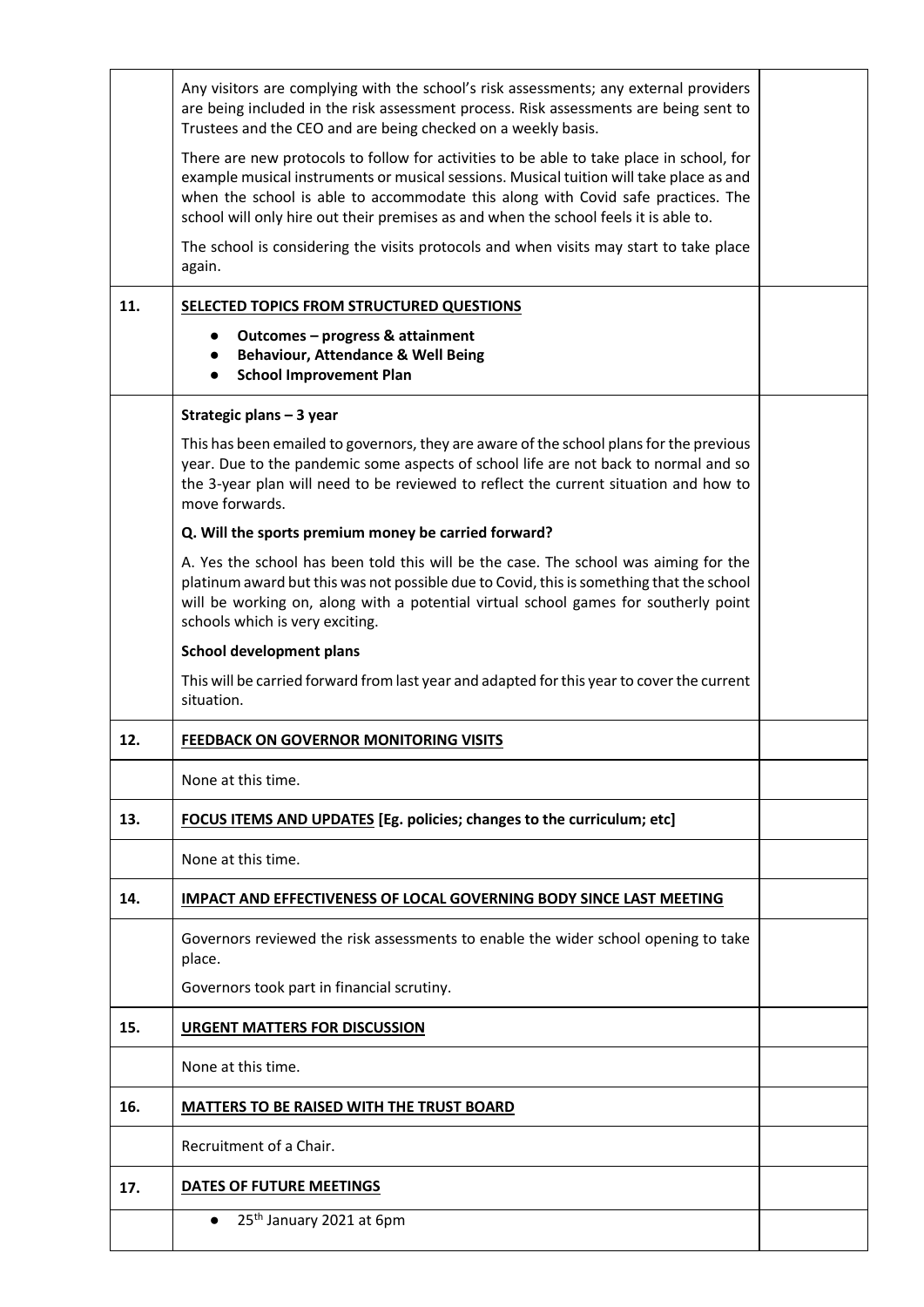|     | Any visitors are complying with the school's risk assessments; any external providers<br>are being included in the risk assessment process. Risk assessments are being sent to<br>Trustees and the CEO and are being checked on a weekly basis.                                                                                                                 |  |
|-----|-----------------------------------------------------------------------------------------------------------------------------------------------------------------------------------------------------------------------------------------------------------------------------------------------------------------------------------------------------------------|--|
|     | There are new protocols to follow for activities to be able to take place in school, for<br>example musical instruments or musical sessions. Musical tuition will take place as and<br>when the school is able to accommodate this along with Covid safe practices. The<br>school will only hire out their premises as and when the school feels it is able to. |  |
|     | The school is considering the visits protocols and when visits may start to take place<br>again.                                                                                                                                                                                                                                                                |  |
| 11. | SELECTED TOPICS FROM STRUCTURED QUESTIONS                                                                                                                                                                                                                                                                                                                       |  |
|     | Outcomes - progress & attainment<br>$\bullet$<br><b>Behaviour, Attendance &amp; Well Being</b><br>$\bullet$<br><b>School Improvement Plan</b><br>$\bullet$                                                                                                                                                                                                      |  |
|     | Strategic plans - 3 year                                                                                                                                                                                                                                                                                                                                        |  |
|     | This has been emailed to governors, they are aware of the school plans for the previous<br>year. Due to the pandemic some aspects of school life are not back to normal and so<br>the 3-year plan will need to be reviewed to reflect the current situation and how to<br>move forwards.                                                                        |  |
|     | Q. Will the sports premium money be carried forward?                                                                                                                                                                                                                                                                                                            |  |
|     | A. Yes the school has been told this will be the case. The school was aiming for the<br>platinum award but this was not possible due to Covid, this is something that the school<br>will be working on, along with a potential virtual school games for southerly point<br>schools which is very exciting.                                                      |  |
|     | <b>School development plans</b>                                                                                                                                                                                                                                                                                                                                 |  |
|     | This will be carried forward from last year and adapted for this year to cover the current<br>situation.                                                                                                                                                                                                                                                        |  |
| 12. | <b>FEEDBACK ON GOVERNOR MONITORING VISITS</b>                                                                                                                                                                                                                                                                                                                   |  |
|     | None at this time.                                                                                                                                                                                                                                                                                                                                              |  |
| 13. | FOCUS ITEMS AND UPDATES [Eg. policies; changes to the curriculum; etc]                                                                                                                                                                                                                                                                                          |  |
|     | None at this time.                                                                                                                                                                                                                                                                                                                                              |  |
| 14. | <b>IMPACT AND EFFECTIVENESS OF LOCAL GOVERNING BODY SINCE LAST MEETING</b>                                                                                                                                                                                                                                                                                      |  |
|     | Governors reviewed the risk assessments to enable the wider school opening to take<br>place.                                                                                                                                                                                                                                                                    |  |
|     | Governors took part in financial scrutiny.                                                                                                                                                                                                                                                                                                                      |  |
| 15. | <b>URGENT MATTERS FOR DISCUSSION</b>                                                                                                                                                                                                                                                                                                                            |  |
|     | None at this time.                                                                                                                                                                                                                                                                                                                                              |  |
| 16. | <b>MATTERS TO BE RAISED WITH THE TRUST BOARD</b>                                                                                                                                                                                                                                                                                                                |  |
|     | Recruitment of a Chair.                                                                                                                                                                                                                                                                                                                                         |  |
| 17. | DATES OF FUTURE MEETINGS                                                                                                                                                                                                                                                                                                                                        |  |
|     | 25 <sup>th</sup> January 2021 at 6pm<br>$\bullet$                                                                                                                                                                                                                                                                                                               |  |